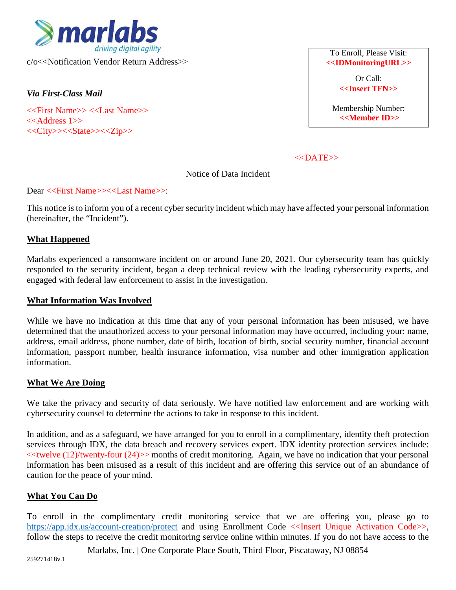

c/o<<Notification Vendor Return Address>>

*Via First-Class Mail* 

<<First Name>> <<Last Name>>  $<<$ Address 1>> <<City>><<State>><<Zip>>

To Enroll, Please Visit: **<<IDMonitoringURL>>** 

> Or Call: **<<Insert TFN>>**

Membership Number: **<<Member ID>>**

 $<<$ DATE $>>$ 

Notice of Data Incident

### Dear <<First Name>><<Last Name>>:

This notice is to inform you of a recent cyber security incident which may have affected your personal information (hereinafter, the "Incident").

# **What Happened**

Marlabs experienced a ransomware incident on or around June 20, 2021. Our cybersecurity team has quickly responded to the security incident, began a deep technical review with the leading cybersecurity experts, and engaged with federal law enforcement to assist in the investigation.

#### **What Information Was Involved**

While we have no indication at this time that any of your personal information has been misused, we have determined that the unauthorized access to your personal information may have occurred, including your: name, address, email address, phone number, date of birth, location of birth, social security number, financial account information, passport number, health insurance information, visa number and other immigration application information.

# **What We Are Doing**

We take the privacy and security of data seriously. We have notified law enforcement and are working with cybersecurity counsel to determine the actions to take in response to this incident.

In addition, and as a safeguard, we have arranged for you to enroll in a complimentary, identity theft protection services through IDX, the data breach and recovery services expert. IDX identity protection services include:  $\ll$ twelve (12)/twenty-four (24) $\gg$  months of credit monitoring. Again, we have no indication that your personal information has been misused as a result of this incident and are offering this service out of an abundance of caution for the peace of your mind.

# **What You Can Do**

To enroll in the complimentary credit monitoring service that we are offering you, please go to <https://app.idx.us/account-creation/protect>and using Enrollment Code <<Insert Unique Activation Code>>, follow the steps to receive the credit monitoring service online within minutes. If you do not have access to the

Marlabs, Inc. | One Corporate Place South, Third Floor, Piscataway, NJ 08854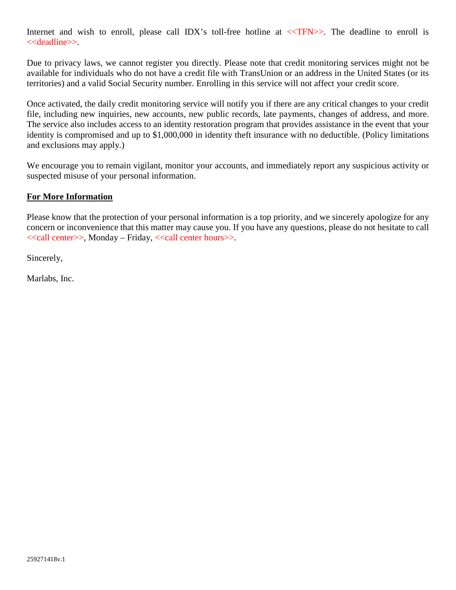Internet and wish to enroll, please call IDX's toll-free hotline at  $\langle \langle TFN \rangle \rangle$ . The deadline to enroll is <<deadline>>.

Due to privacy laws, we cannot register you directly. Please note that credit monitoring services might not be available for individuals who do not have a credit file with TransUnion or an address in the United States (or its territories) and a valid Social Security number. Enrolling in this service will not affect your credit score.

Once activated, the daily credit monitoring service will notify you if there are any critical changes to your credit file, including new inquiries, new accounts, new public records, late payments, changes of address, and more. The service also includes access to an identity restoration program that provides assistance in the event that your identity is compromised and up to \$1,000,000 in identity theft insurance with no deductible. (Policy limitations and exclusions may apply.)

We encourage you to remain vigilant, monitor your accounts, and immediately report any suspicious activity or suspected misuse of your personal information.

# **For More Information**

Please know that the protection of your personal information is a top priority, and we sincerely apologize for any concern or inconvenience that this matter may cause you. If you have any questions, please do not hesitate to call <<call center>>, Monday – Friday, <<call center hours>>.

Sincerely,

Marlabs, Inc.